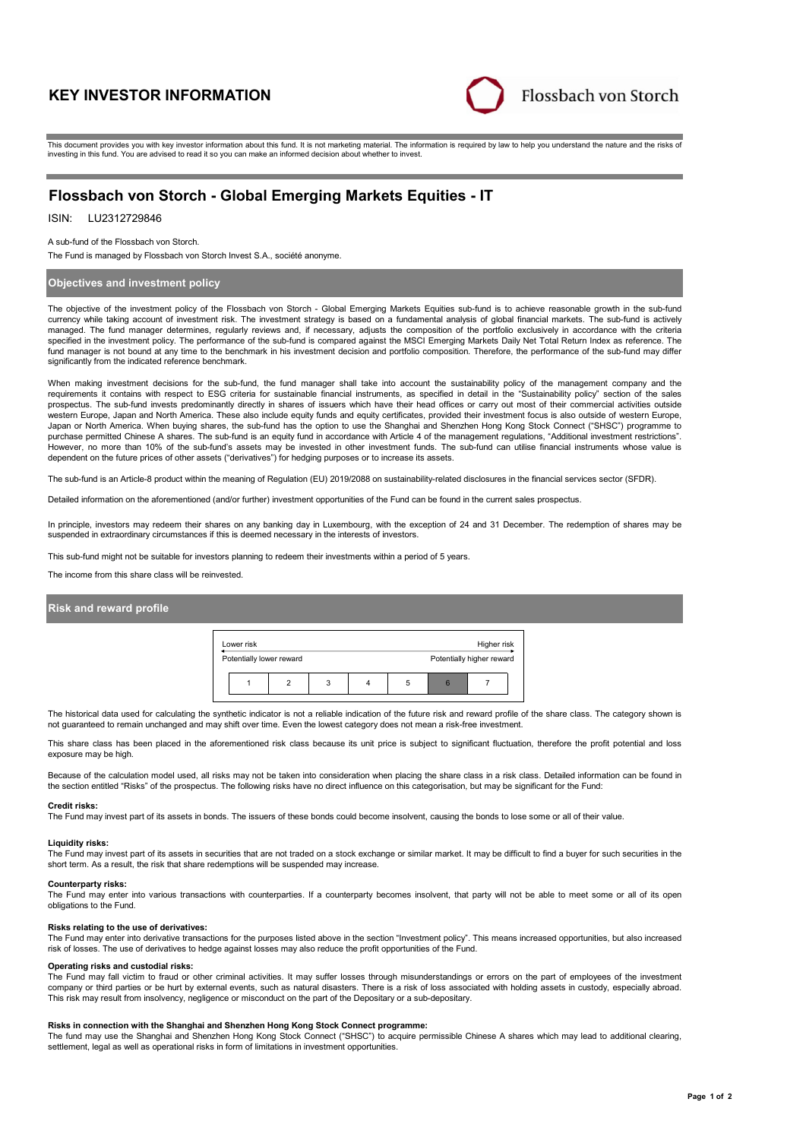# **KEY INVESTOR INFORMATION**



This document provides you with key investor information about this fund. It is not marketing material. The information is required by law to help you understand the nature and the risks of investing in this fund. You are advised to read it so you can make an informed decision about whether to invest.

# **Flossbach von Storch - Global Emerging Markets Equities - IT**

# ISIN: LU2312729846

### A sub-fund of the Flossbach von Storch.

The Fund is managed by Flossbach von Storch Invest S.A., société anonyme.

# **Objectives and investment policy**

The objective of the investment policy of the Flossbach von Storch - Global Emerging Markets Equities sub-fund is to achieve reasonable growth in the sub-fund currency while taking account of investment risk. The investment strategy is based on a fundamental analysis of global financial markets. The sub-fund is actively managed. The fund manager determines, regularly reviews and, if necessary, adjusts the composition of the portfolio exclusively in accordance with the criteria specified in the investment policy. The performance of the sub-fund is compared against the MSCI Emerging Markets Daily Net Total Return Index as reference. The fund manager is not bound at any time to the benchmark in his investment decision and portfolio composition. Therefore, the performance of the sub-fund may differ significantly from the indicated reference benchmark.

When making investment decisions for the sub-fund, the fund manager shall take into account the sustainability policy of the management company and the requirements it contains with respect to ESG criteria for sustainable financial instruments, as specified in detail in the "Sustainability policy" section of the sales prospectus. The sub-fund invests predominantly directly in shares of issuers which have their head offices or carry out most of their commercial activities outside western Europe, Japan and North America. These also include equity funds and equity certificates, provided their investment focus is also outside of western Europe, Japan or North America. When buying shares, the sub-fund has the option to use the Shanghai and Shenzhen Hong Kong Stock Connect ("SHSC") programme to purchase permitted Chinese A shares. The sub-fund is an equity fund in accordance with Article 4 of the management regulations, "Additional investment restrictions". However, no more than 10% of the sub-fund's assets may be invested in other investment funds. The sub-fund can utilise financial instruments whose value is dependent on the future prices of other assets ("derivatives") for hedging purposes or to increase its assets.

The sub-fund is an Article-8 product within the meaning of Regulation (EU) 2019/2088 on sustainability-related disclosures in the financial services sector (SFDR).

Detailed information on the aforementioned (and/or further) investment opportunities of the Fund can be found in the current sales prospectus.

In principle, investors may redeem their shares on any banking day in Luxembourg, with the exception of 24 and 31 December. The redemption of shares may be suspended in extraordinary circumstances if this is deemed necessary in the interests of investors.

This sub-fund might not be suitable for investors planning to redeem their investments within a period of 5 years.

The income from this share class will be reinvested.

# **Risk and reward profile**



The historical data used for calculating the synthetic indicator is not a reliable indication of the future risk and reward profile of the share class. The category shown is not guaranteed to remain unchanged and may shift over time. Even the lowest category does not mean a risk-free investment.

This share class has been placed in the aforementioned risk class because its unit price is subject to significant fluctuation, therefore the profit potential and loss exposure may be high.

Because of the calculation model used, all risks may not be taken into consideration when placing the share class in a risk class. Detailed information can be found in the section entitled "Risks" of the prospectus. The following risks have no direct influence on this categorisation, but may be significant for the Fund:

#### **Credit risks:**

The Fund may invest part of its assets in bonds. The issuers of these bonds could become insolvent, causing the bonds to lose some or all of their value.

# **Liquidity risks:**

The Fund may invest part of its assets in securities that are not traded on a stock exchange or similar market. It may be difficult to find a buyer for such securities in the short term. As a result, the risk that share redemptions will be suspended may increase.

#### **Counterparty risks:**

The Fund may enter into various transactions with counterparties. If a counterparty becomes insolvent, that party will not be able to meet some or all of its open obligations to the Fund.

#### **Risks relating to the use of derivatives:**

The Fund may enter into derivative transactions for the purposes listed above in the section "Investment policy". This means increased opportunities, but also increased risk of losses. The use of derivatives to hedge against losses may also reduce the profit opportunities of the Fund.

#### **Operating risks and custodial risks:**

The Fund may fall victim to fraud or other criminal activities. It may suffer losses through misunderstandings or errors on the part of employees of the investment company or third parties or be hurt by external events, such as natural disasters. There is a risk of loss associated with holding assets in custody, especially abroad. This risk may result from insolvency, negligence or misconduct on the part of the Depositary or a sub-depositary.

#### **Risks in connection with the Shanghai and Shenzhen Hong Kong Stock Connect programme:**

The fund may use the Shanghai and Shenzhen Hong Kong Stock Connect ("SHSC") to acquire permissible Chinese A shares which may lead to additional clearing, settlement, legal as well as operational risks in form of limitations in investment opportunities.